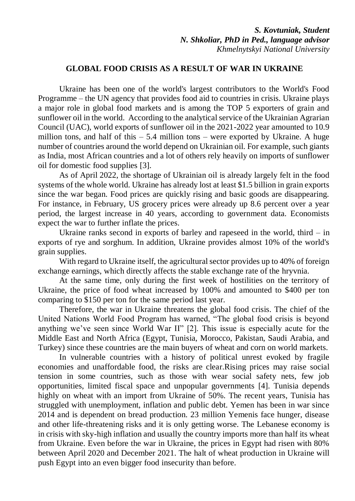*S. Kovtuniak, Student N. Shkoliar, PhD in Ped., language advisor Khmelnytskyi National University*

## **GLOBAL FOOD CRISIS AS A RESULT OF WAR IN UKRAINE**

Ukraine has been one of the world's largest contributors to the World's Food Programme – the UN agency that provides food aid to countries in crisis. Ukraine plays a major role in global food markets and is among the TOP 5 exporters of grain and sunflower oil in the world. According to the analytical service of the Ukrainian Agrarian Council (UAC), world exports of sunflower oil in the 2021-2022 year amounted to 10.9 million tons, and half of this  $-5.4$  million tons – were exported by Ukraine. A huge number of countries around the world depend on Ukrainian oil. For example, such giants as India, most African countries and a lot of others rely heavily on imports of sunflower oil for domestic food supplies [3].

As of April 2022, the shortage of Ukrainian oil is already largely felt in the food systems of the whole world. Ukraine has already lost at least \$1.5 billion in grain exports since the war began. Food prices are quickly rising and basic goods are disappearing. For instance, in February, US grocery prices were already up 8.6 percent over a year period, the largest increase in 40 years, according to government data. Economists expect the war to further inflate the prices.

Ukraine ranks second in exports of barley and rapeseed in the world, third  $-$  in exports of rye and sorghum. In addition, Ukraine provides almost 10% of the world's grain supplies.

With regard to Ukraine itself, the agricultural sector provides up to 40% of foreign exchange earnings, which directly affects the stable exchange rate of the hryvnia.

At the same time, only during the first week of hostilities on the territory of Ukraine, the price of food wheat increased by 100% and amounted to \$400 per ton comparing to \$150 per ton for the same period last year.

Therefore, the war in Ukraine threatens the global food crisis. The chief of the United Nations World Food Program has warned, "The global food crisis is beyond anything we've seen since World War II" [2]. This issue is especially acute for the Middle East and North Africa (Egypt, Tunisia, Morocco, Pakistan, Saudi Arabia, and Turkey) since these countries are the main buyers of wheat and corn on world markets.

In vulnerable countries with a history of political unrest evoked by fragile economies and unaffordable food, the risks are clear.Rising prices may raise social tension in some countries, such as those with wear social safety nets, few job opportunities, limited fiscal space and unpopular governments [4]. Tunisia depends highly on wheat with an import from Ukraine of 50%. The recent years, Tunisia has struggled with unemployment, inflation and public debt. Yemen has been in war since 2014 and is dependent on bread production. 23 million Yemenis face hunger, disease and other life-threatening risks and it is only getting worse. The Lebanese economy is in crisis with sky-high inflation and usually the country imports more than half its wheat from Ukraine. Even before the war in Ukraine, the prices in Egypt had risen with 80% between April 2020 and December 2021. The halt of wheat production in Ukraine will push Egypt into an even bigger food insecurity than before.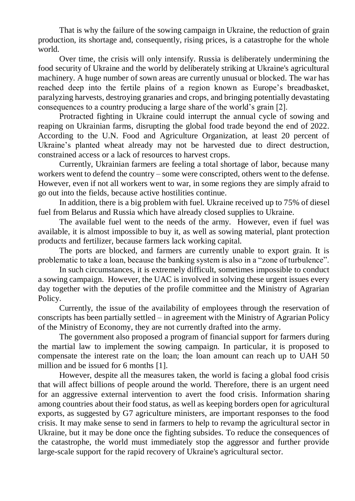That is why the failure of the sowing campaign in Ukraine, the reduction of grain production, its shortage and, consequently, rising prices, is a catastrophe for the whole world.

Over time, the crisis will only intensify. Russia is deliberately undermining the food security of Ukraine and the world by deliberately striking at Ukraine's agricultural machinery. A huge number of sown areas are currently unusual or blocked. The war has reached deep into the fertile plains of a region known as Europe's breadbasket, paralyzing harvests, destroying granaries and crops, and bringing potentially devastating consequences to a country producing a large share of the world's grain [2].

Protracted fighting in Ukraine could interrupt the annual cycle of sowing and reaping on Ukrainian farms, disrupting the global food trade beyond the end of 2022. According to the U.N. Food and Agriculture Organization, at least 20 percent of Ukraine's planted wheat already may not be harvested due to direct destruction, constrained access or a lack of resources to harvest crops.

Currently, Ukrainian farmers are feeling a total shortage of labor, because many workers went to defend the country – some were conscripted, others went to the defense. However, even if not all workers went to war, in some regions they are simply afraid to go out into the fields, because active hostilities continue.

In addition, there is a big problem with fuel. Ukraine received up to 75% of diesel fuel from Belarus and Russia which have already closed supplies to Ukraine.

The available fuel went to the needs of the army. However, even if fuel was available, it is almost impossible to buy it, as well as sowing material, plant protection products and fertilizer, because farmers lack working capital.

The ports are blocked, and farmers are currently unable to export grain. It is problematic to take a loan, because the banking system is also in a "zone of turbulence".

In such circumstances, it is extremely difficult, sometimes impossible to conduct a sowing campaign. However, the UAC is involved in solving these urgent issues every day together with the deputies of the profile committee and the Ministry of Agrarian Policy.

Currently, the issue of the availability of employees through the reservation of conscripts has been partially settled – in agreement with the Ministry of Agrarian Policy of the Ministry of Economy, they are not currently drafted into the army.

The government also proposed a program of financial support for farmers during the martial law to implement the sowing campaign. In particular, it is proposed to compensate the interest rate on the loan; the loan amount can reach up to UAH 50 million and be issued for 6 months [1].

However, despite all the measures taken, the world is facing a global food crisis that will affect billions of people around the world. Therefore, there is an urgent need for an aggressive external intervention to avert the food crisis. Information sharing among countries about their food status, as well as keeping borders open for agricultural exports, as suggested by G7 agriculture ministers, are important responses to the food crisis. It may make sense to send in farmers to help to revamp the agricultural sector in Ukraine, but it may be done once the fighting subsides. To reduce the consequences of the catastrophe, the world must immediately stop the aggressor and further provide large-scale support for the rapid recovery of Ukraine's agricultural sector.